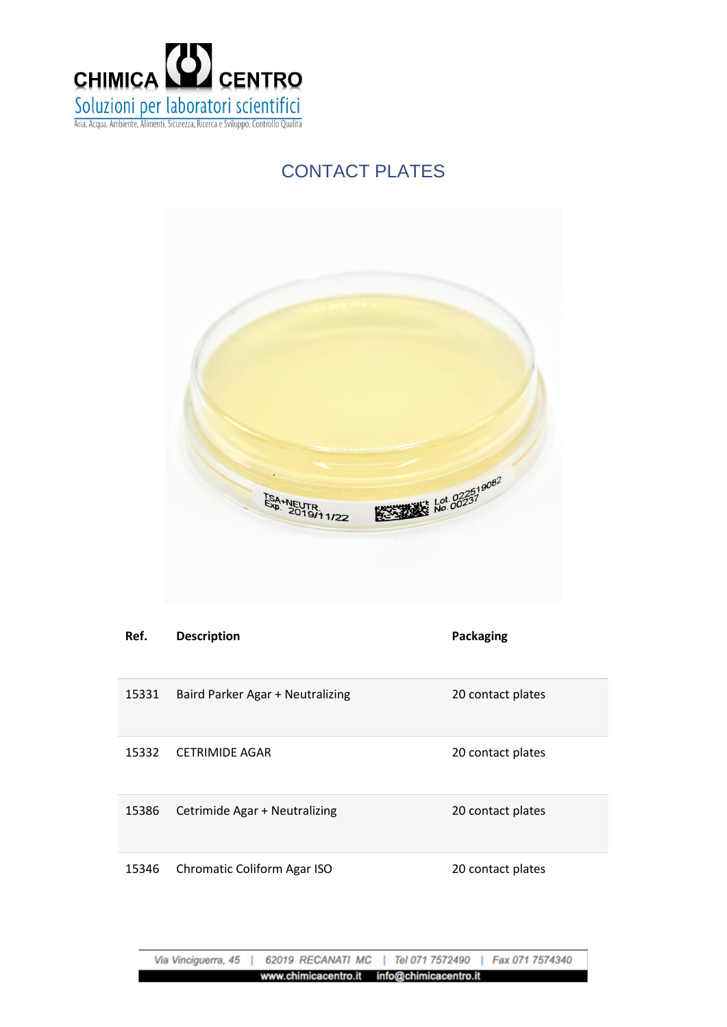

## CONTACT PLATES



| Ref.  | <b>Description</b>               | <b>Packaging</b>  |
|-------|----------------------------------|-------------------|
| 15331 | Baird Parker Agar + Neutralizing | 20 contact plates |
| 15332 | <b>CETRIMIDE AGAR</b>            | 20 contact plates |
| 15386 | Cetrimide Agar + Neutralizing    | 20 contact plates |
| 15346 | Chromatic Coliform Agar ISO      | 20 contact plates |

Via Vinciguerra, 45 62019 RECANATI MC | Tel 071 7572490 Fax 071 7574340 www.chimicacentro.it info@chimicacentro.it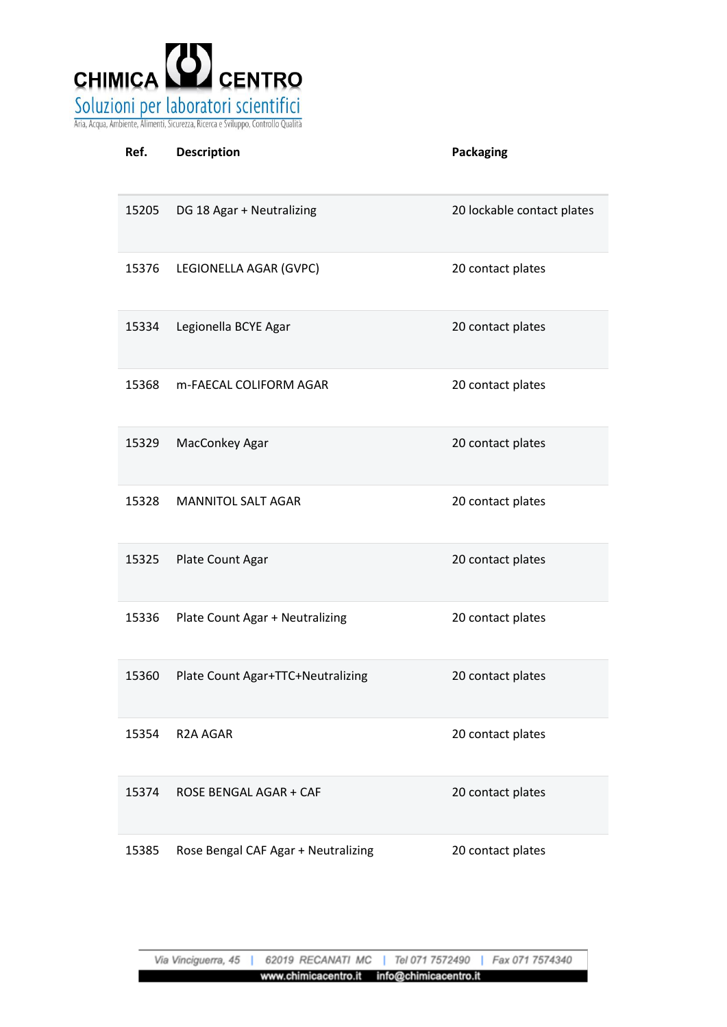

| Ref.  | <b>Description</b>                  | <b>Packaging</b>           |
|-------|-------------------------------------|----------------------------|
| 15205 | DG 18 Agar + Neutralizing           | 20 lockable contact plates |
| 15376 | LEGIONELLA AGAR (GVPC)              | 20 contact plates          |
| 15334 | Legionella BCYE Agar                | 20 contact plates          |
| 15368 | m-FAECAL COLIFORM AGAR              | 20 contact plates          |
| 15329 | MacConkey Agar                      | 20 contact plates          |
| 15328 | <b>MANNITOL SALT AGAR</b>           | 20 contact plates          |
| 15325 | Plate Count Agar                    | 20 contact plates          |
| 15336 | Plate Count Agar + Neutralizing     | 20 contact plates          |
| 15360 | Plate Count Agar+TTC+Neutralizing   | 20 contact plates          |
| 15354 | R <sub>2</sub> A AGAR               | 20 contact plates          |
| 15374 | <b>ROSE BENGAL AGAR + CAF</b>       | 20 contact plates          |
| 15385 | Rose Bengal CAF Agar + Neutralizing | 20 contact plates          |